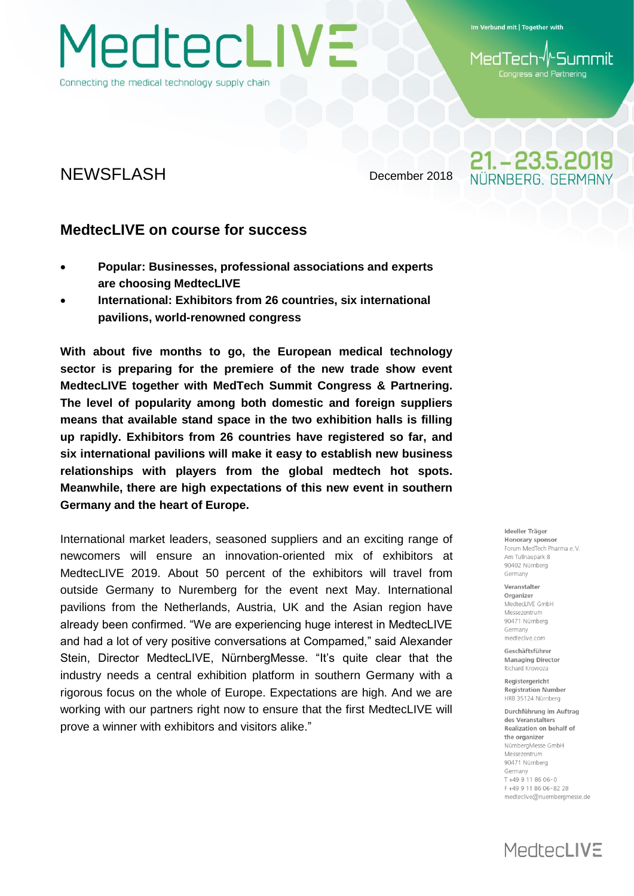MedtecLIVE

Connecting the medical technology supply chain

Im Verbund mit | Together with

-Summil 1edTech Congress and Partnering

21. - 23.5.2019 IÜRNBERG, GERMAN

### NEWSFLASH December 2018

#### **MedtecLIVE on course for success**

- **Popular: Businesses, professional associations and experts are choosing MedtecLIVE**
- **International: Exhibitors from 26 countries, six international pavilions, world-renowned congress**

**With about five months to go, the European medical technology sector is preparing for the premiere of the new trade show event MedtecLIVE together with MedTech Summit Congress & Partnering. The level of popularity among both domestic and foreign suppliers means that available stand space in the two exhibition halls is filling up rapidly. Exhibitors from 26 countries have registered so far, and six international pavilions will make it easy to establish new business relationships with players from the global medtech hot spots. Meanwhile, there are high expectations of this new event in southern Germany and the heart of Europe.**

International market leaders, seasoned suppliers and an exciting range of newcomers will ensure an innovation-oriented mix of exhibitors at MedtecLIVE 2019. About 50 percent of the exhibitors will travel from outside Germany to Nuremberg for the event next May. International pavilions from the Netherlands, Austria, UK and the Asian region have already been confirmed. "We are experiencing huge interest in MedtecLIVE and had a lot of very positive conversations at Compamed," said Alexander Stein, Director MedtecLIVE, NürnbergMesse. "It's quite clear that the industry needs a central exhibition platform in southern Germany with a rigorous focus on the whole of Europe. Expectations are high. And we are working with our partners right now to ensure that the first MedtecLIVE will prove a winner with exhibitors and visitors alike."

#### Ideeller Träger Honorary sponsor Forum MedTech Pharma e V Am Tullnaunark 8 90402 Nürnberg Germany

Veranstalter Organizer MedtecLIVE GmbH Messezentrum 90471 Nürnberg Germany medteclive.com

Geschäftsführer **Managing Director** Richard Krowoza

Registergericht **Registration Number** HRB 35124 Nürnberg

Durchführung im Auftrag des Veranstalters Realization on behalf of the organizer NürnbergMesse GmbH Messezentrum 90471 Nürnberg Germany T+49 9 11 86 06-0 F +49 9 11 86 06 - 82 28 medteclive@nuernbergmesse.de

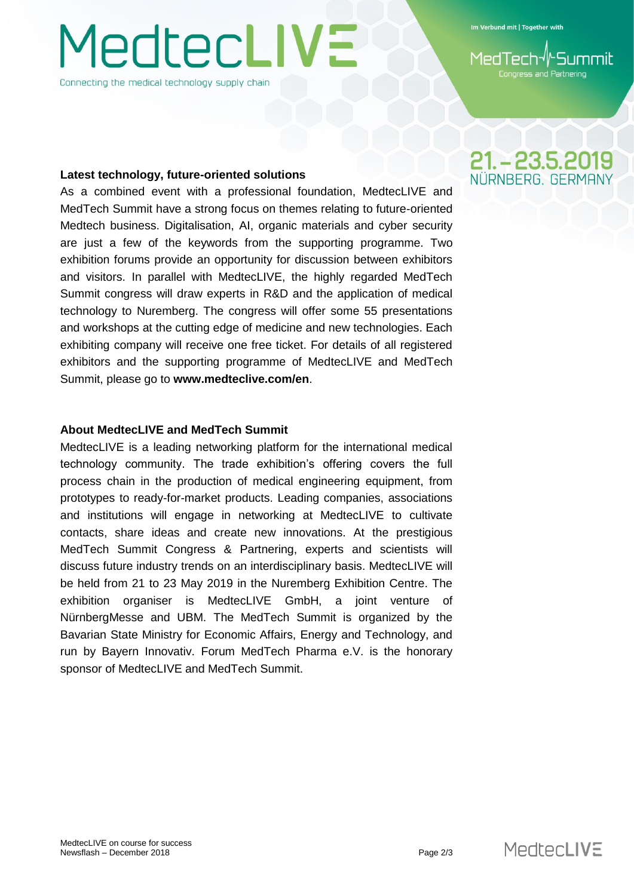# **MedtecLIVE**

Connecting the medical technology supply chain

Im Verbund mit | Together with

Congress and Partnering

#### **Latest technology, future-oriented solutions**

As a combined event with a professional foundation, MedtecLIVE and MedTech Summit have a strong focus on themes relating to future-oriented Medtech business. Digitalisation, AI, organic materials and cyber security are just a few of the keywords from the supporting programme. Two exhibition forums provide an opportunity for discussion between exhibitors and visitors. In parallel with MedtecLIVE, the highly regarded MedTech Summit congress will draw experts in R&D and the application of medical technology to Nuremberg. The congress will offer some 55 presentations and workshops at the cutting edge of medicine and new technologies. Each exhibiting company will receive one free ticket. For details of all registered exhibitors and the supporting programme of MedtecLIVE and MedTech Summit, please go to **www.medteclive.com/en**.

#### **About MedtecLIVE and MedTech Summit**

MedtecLIVE is a leading networking platform for the international medical technology community. The trade exhibition's offering covers the full process chain in the production of medical engineering equipment, from prototypes to ready-for-market products. Leading companies, associations and institutions will engage in networking at MedtecLIVE to cultivate contacts, share ideas and create new innovations. At the prestigious MedTech Summit Congress & Partnering, experts and scientists will discuss future industry trends on an interdisciplinary basis. MedtecLIVE will be held from 21 to 23 May 2019 in the Nuremberg Exhibition Centre. The exhibition organiser is MedtecLIVE GmbH, a joint venture of NürnbergMesse and UBM. The MedTech Summit is organized by the Bavarian State Ministry for Economic Affairs, Energy and Technology, and run by Bayern Innovativ. Forum MedTech Pharma e.V. is the honorary sponsor of MedtecLIVE and MedTech Summit.

## 21. - 23.5.2019 NÜRNBERG GERMAN

MedtecLIVE